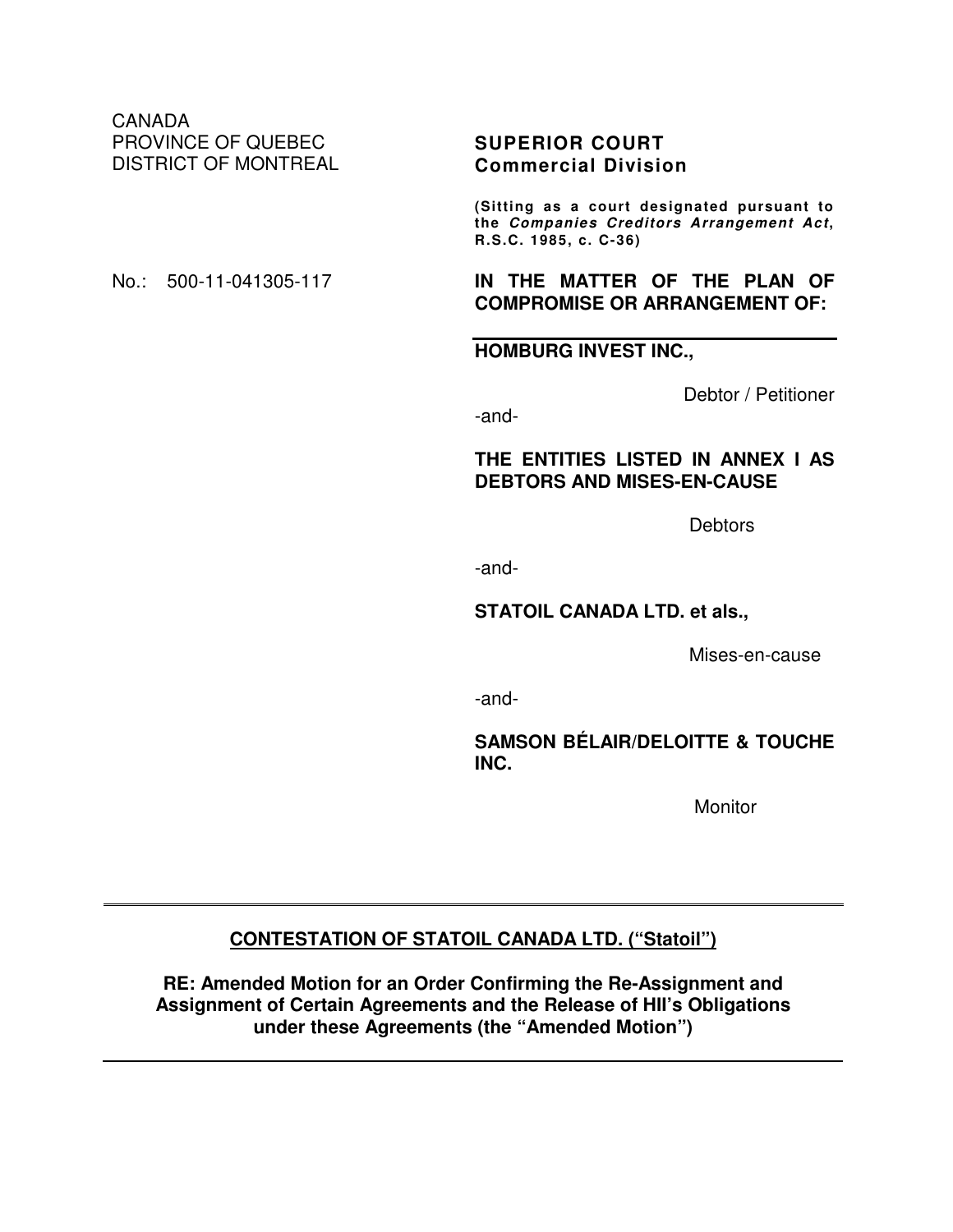CANADA PROVINCE OF QUEBEC DISTRICT OF MONTREAL

## **SUPERIOR COURT Commercial Division**

**(Sitting as a court designated pursuant to the Companies Creditors Arrangement Act, R.S.C. 1985, c. C-36)** 

#### No.: 500-11-041305-117 **IN THE MATTER OF THE PLAN OF COMPROMISE OR ARRANGEMENT OF:**

**HOMBURG INVEST INC.,**

Debtor / Petitioner

-and-

## **THE ENTITIES LISTED IN ANNEX I AS DEBTORS AND MISES-EN-CAUSE**

Debtors

-and-

#### **STATOIL CANADA LTD. et als.,**

Mises-en-cause

-and-

**SAMSON BÉLAIR/DELOITTE & TOUCHE INC.** 

**Monitor** 

# **CONTESTATION OF STATOIL CANADA LTD. ("Statoil")**

**RE: Amended Motion for an Order Confirming the Re-Assignment and Assignment of Certain Agreements and the Release of HII's Obligations under these Agreements (the "Amended Motion")**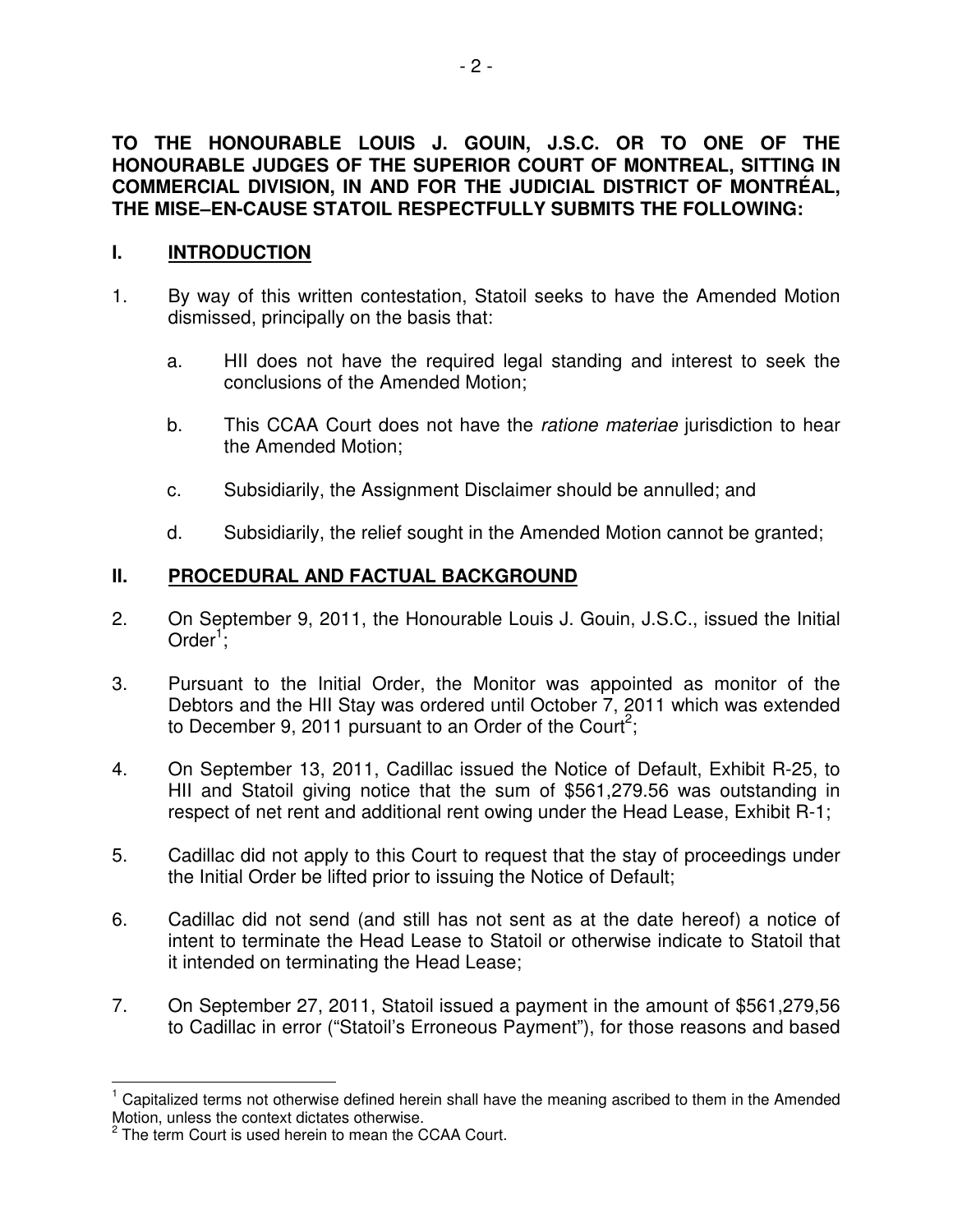# **TO THE HONOURABLE LOUIS J. GOUIN, J.S.C. OR TO ONE OF THE HONOURABLE JUDGES OF THE SUPERIOR COURT OF MONTREAL, SITTING IN COMMERCIAL DIVISION, IN AND FOR THE JUDICIAL DISTRICT OF MONTRÉAL, THE MISE–EN-CAUSE STATOIL RESPECTFULLY SUBMITS THE FOLLOWING:**

# **I. INTRODUCTION**

- 1. By way of this written contestation, Statoil seeks to have the Amended Motion dismissed, principally on the basis that:
	- a. HII does not have the required legal standing and interest to seek the conclusions of the Amended Motion;
	- b. This CCAA Court does not have the *ratione materiae* jurisdiction to hear the Amended Motion;
	- c. Subsidiarily, the Assignment Disclaimer should be annulled; and
	- d. Subsidiarily, the relief sought in the Amended Motion cannot be granted;

# **II. PROCEDURAL AND FACTUAL BACKGROUND**

- 2. On September 9, 2011, the Honourable Louis J. Gouin, J.S.C., issued the Initial Order<sup>1</sup>;
- 3. Pursuant to the Initial Order, the Monitor was appointed as monitor of the Debtors and the HII Stay was ordered until October 7, 2011 which was extended to December 9, 2011 pursuant to an Order of the Court<sup>2</sup>;
- 4. On September 13, 2011, Cadillac issued the Notice of Default, Exhibit R-25, to HII and Statoil giving notice that the sum of \$561,279.56 was outstanding in respect of net rent and additional rent owing under the Head Lease, Exhibit R-1;
- 5. Cadillac did not apply to this Court to request that the stay of proceedings under the Initial Order be lifted prior to issuing the Notice of Default;
- 6. Cadillac did not send (and still has not sent as at the date hereof) a notice of intent to terminate the Head Lease to Statoil or otherwise indicate to Statoil that it intended on terminating the Head Lease;
- 7. On September 27, 2011, Statoil issued a payment in the amount of \$561,279,56 to Cadillac in error ("Statoil's Erroneous Payment"), for those reasons and based

 $\overline{1}$ 1 Capitalized terms not otherwise defined herein shall have the meaning ascribed to them in the Amended Motion, unless the context dictates otherwise.

<sup>&</sup>lt;sup>2</sup> The term Court is used herein to mean the CCAA Court.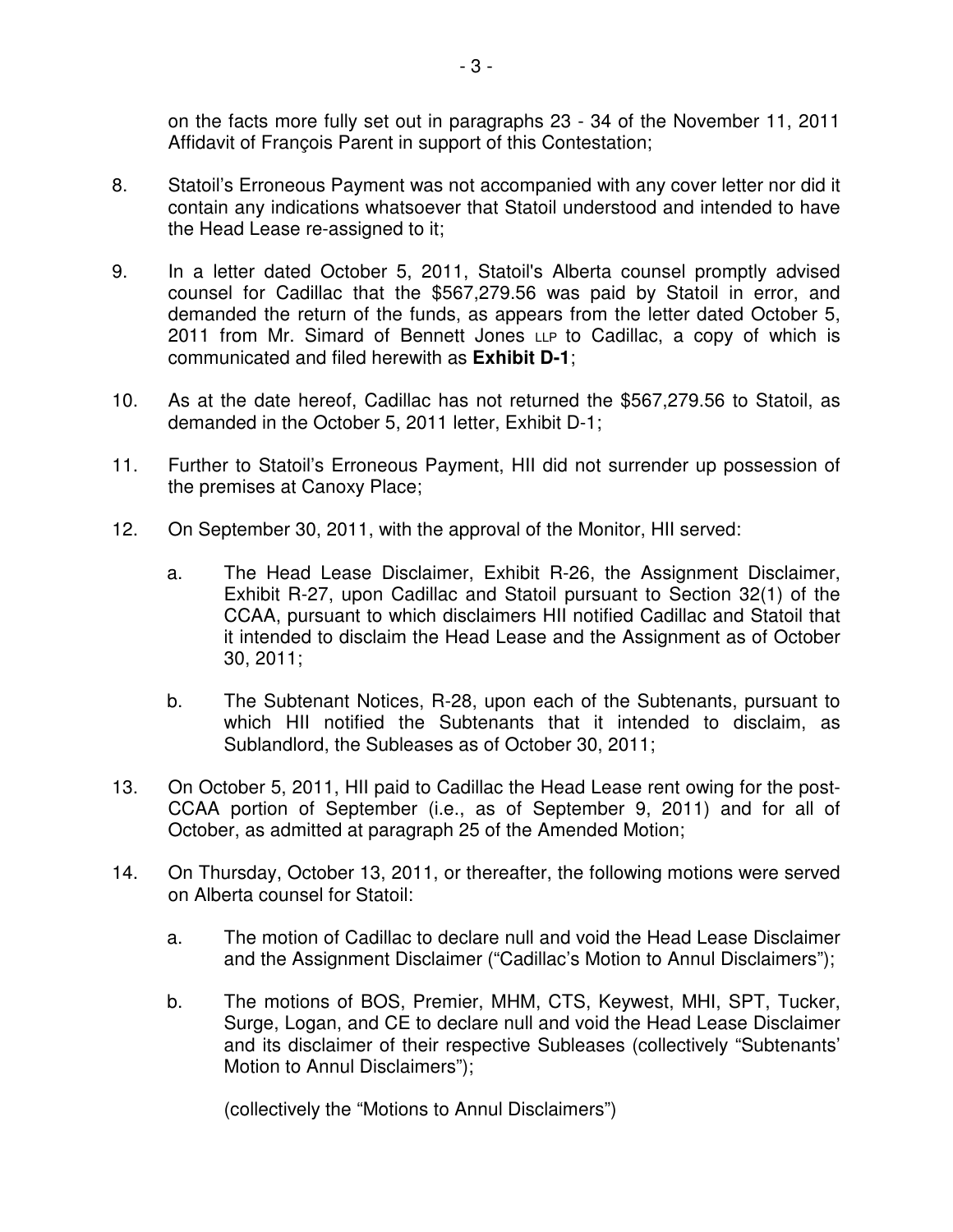on the facts more fully set out in paragraphs 23 - 34 of the November 11, 2011 Affidavit of François Parent in support of this Contestation;

- 8. Statoil's Erroneous Payment was not accompanied with any cover letter nor did it contain any indications whatsoever that Statoil understood and intended to have the Head Lease re-assigned to it;
- 9. In a letter dated October 5, 2011, Statoil's Alberta counsel promptly advised counsel for Cadillac that the \$567,279.56 was paid by Statoil in error, and demanded the return of the funds, as appears from the letter dated October 5, 2011 from Mr. Simard of Bennett Jones LLP to Cadillac, a copy of which is communicated and filed herewith as **Exhibit D-1**;
- 10. As at the date hereof, Cadillac has not returned the \$567,279.56 to Statoil, as demanded in the October 5, 2011 letter, Exhibit D-1;
- 11. Further to Statoil's Erroneous Payment, HII did not surrender up possession of the premises at Canoxy Place;
- 12. On September 30, 2011, with the approval of the Monitor, HII served:
	- a. The Head Lease Disclaimer, Exhibit R-26, the Assignment Disclaimer, Exhibit R-27, upon Cadillac and Statoil pursuant to Section 32(1) of the CCAA, pursuant to which disclaimers HII notified Cadillac and Statoil that it intended to disclaim the Head Lease and the Assignment as of October 30, 2011;
	- b. The Subtenant Notices, R-28, upon each of the Subtenants, pursuant to which HII notified the Subtenants that it intended to disclaim, as Sublandlord, the Subleases as of October 30, 2011;
- 13. On October 5, 2011, HII paid to Cadillac the Head Lease rent owing for the post-CCAA portion of September (i.e., as of September 9, 2011) and for all of October, as admitted at paragraph 25 of the Amended Motion;
- 14. On Thursday, October 13, 2011, or thereafter, the following motions were served on Alberta counsel for Statoil:
	- a. The motion of Cadillac to declare null and void the Head Lease Disclaimer and the Assignment Disclaimer ("Cadillac's Motion to Annul Disclaimers");
	- b. The motions of BOS, Premier, MHM, CTS, Keywest, MHI, SPT, Tucker, Surge, Logan, and CE to declare null and void the Head Lease Disclaimer and its disclaimer of their respective Subleases (collectively "Subtenants' Motion to Annul Disclaimers");

(collectively the "Motions to Annul Disclaimers")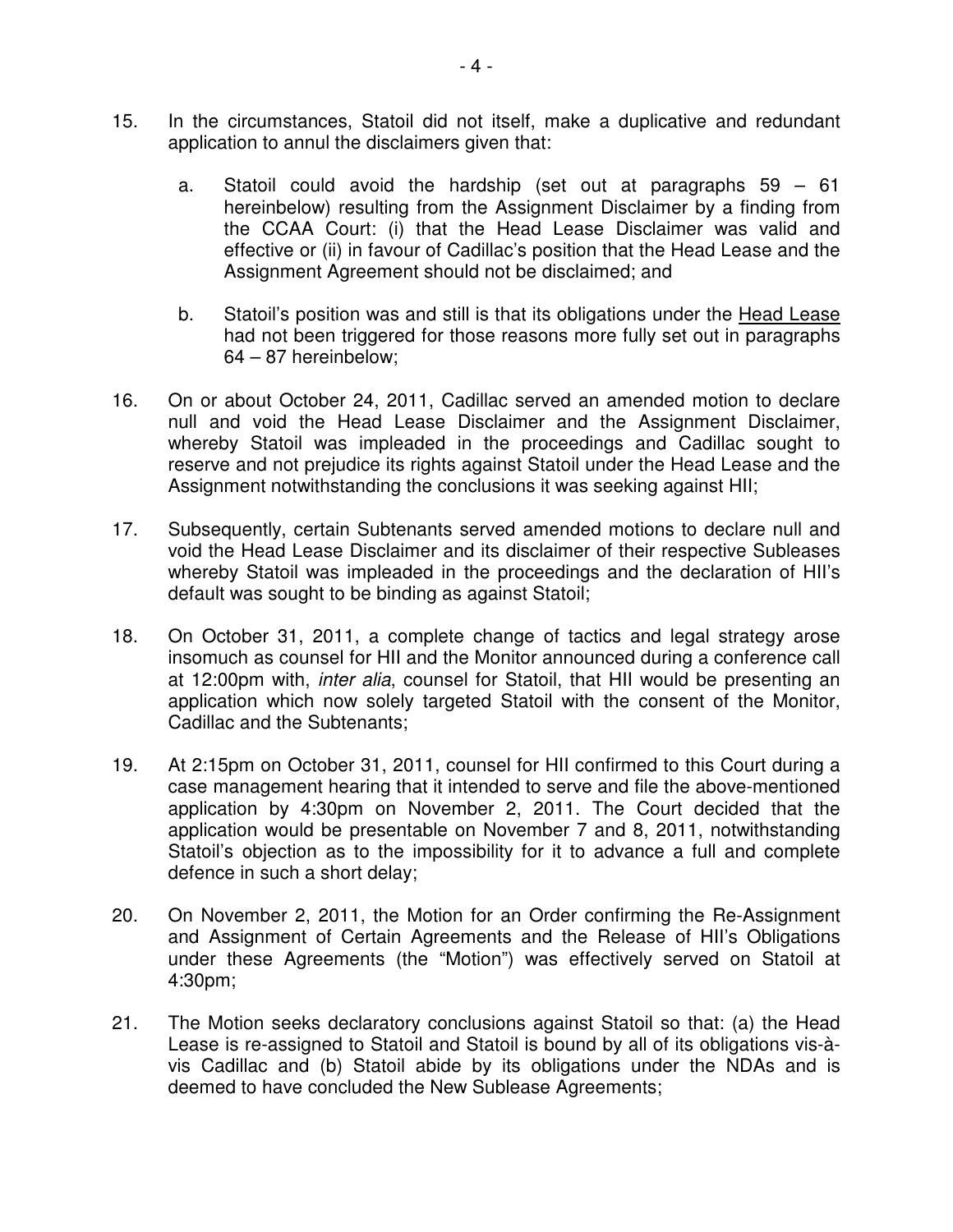- 15. In the circumstances, Statoil did not itself, make a duplicative and redundant application to annul the disclaimers given that:
	- a. Statoil could avoid the hardship (set out at paragraphs 59 61 hereinbelow) resulting from the Assignment Disclaimer by a finding from the CCAA Court: (i) that the Head Lease Disclaimer was valid and effective or (ii) in favour of Cadillac's position that the Head Lease and the Assignment Agreement should not be disclaimed; and
	- b. Statoil's position was and still is that its obligations under the Head Lease had not been triggered for those reasons more fully set out in paragraphs 64 – 87 hereinbelow;
- 16. On or about October 24, 2011, Cadillac served an amended motion to declare null and void the Head Lease Disclaimer and the Assignment Disclaimer, whereby Statoil was impleaded in the proceedings and Cadillac sought to reserve and not prejudice its rights against Statoil under the Head Lease and the Assignment notwithstanding the conclusions it was seeking against HII;
- 17. Subsequently, certain Subtenants served amended motions to declare null and void the Head Lease Disclaimer and its disclaimer of their respective Subleases whereby Statoil was impleaded in the proceedings and the declaration of HII's default was sought to be binding as against Statoil;
- 18. On October 31, 2011, a complete change of tactics and legal strategy arose insomuch as counsel for HII and the Monitor announced during a conference call at 12:00pm with, inter alia, counsel for Statoil, that HII would be presenting an application which now solely targeted Statoil with the consent of the Monitor, Cadillac and the Subtenants;
- 19. At 2:15pm on October 31, 2011, counsel for HII confirmed to this Court during a case management hearing that it intended to serve and file the above-mentioned application by 4:30pm on November 2, 2011. The Court decided that the application would be presentable on November 7 and 8, 2011, notwithstanding Statoil's objection as to the impossibility for it to advance a full and complete defence in such a short delay;
- 20. On November 2, 2011, the Motion for an Order confirming the Re-Assignment and Assignment of Certain Agreements and the Release of HII's Obligations under these Agreements (the "Motion") was effectively served on Statoil at 4:30pm;
- 21. The Motion seeks declaratory conclusions against Statoil so that: (a) the Head Lease is re-assigned to Statoil and Statoil is bound by all of its obligations vis-àvis Cadillac and (b) Statoil abide by its obligations under the NDAs and is deemed to have concluded the New Sublease Agreements;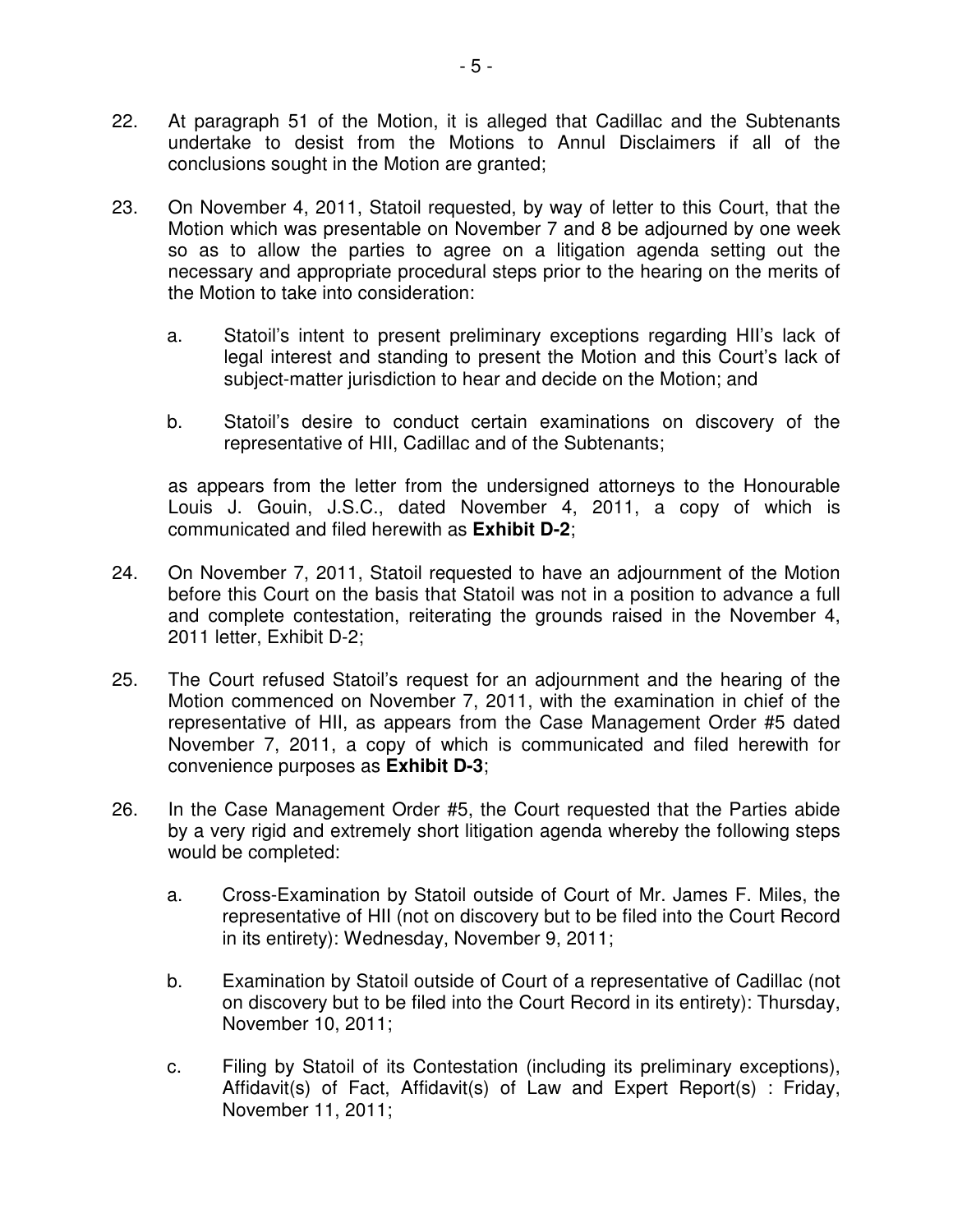- 22. At paragraph 51 of the Motion, it is alleged that Cadillac and the Subtenants undertake to desist from the Motions to Annul Disclaimers if all of the conclusions sought in the Motion are granted;
- 23. On November 4, 2011, Statoil requested, by way of letter to this Court, that the Motion which was presentable on November 7 and 8 be adjourned by one week so as to allow the parties to agree on a litigation agenda setting out the necessary and appropriate procedural steps prior to the hearing on the merits of the Motion to take into consideration:
	- a. Statoil's intent to present preliminary exceptions regarding HII's lack of legal interest and standing to present the Motion and this Court's lack of subject-matter jurisdiction to hear and decide on the Motion; and
	- b. Statoil's desire to conduct certain examinations on discovery of the representative of HII, Cadillac and of the Subtenants;

as appears from the letter from the undersigned attorneys to the Honourable Louis J. Gouin, J.S.C., dated November 4, 2011, a copy of which is communicated and filed herewith as **Exhibit D-2**;

- 24. On November 7, 2011, Statoil requested to have an adjournment of the Motion before this Court on the basis that Statoil was not in a position to advance a full and complete contestation, reiterating the grounds raised in the November 4, 2011 letter, Exhibit D-2;
- 25. The Court refused Statoil's request for an adjournment and the hearing of the Motion commenced on November 7, 2011, with the examination in chief of the representative of HII, as appears from the Case Management Order #5 dated November 7, 2011, a copy of which is communicated and filed herewith for convenience purposes as **Exhibit D-3**;
- 26. In the Case Management Order #5, the Court requested that the Parties abide by a very rigid and extremely short litigation agenda whereby the following steps would be completed:
	- a. Cross-Examination by Statoil outside of Court of Mr. James F. Miles, the representative of HII (not on discovery but to be filed into the Court Record in its entirety): Wednesday, November 9, 2011;
	- b. Examination by Statoil outside of Court of a representative of Cadillac (not on discovery but to be filed into the Court Record in its entirety): Thursday, November 10, 2011;
	- c. Filing by Statoil of its Contestation (including its preliminary exceptions), Affidavit(s) of Fact, Affidavit(s) of Law and Expert Report(s) : Friday, November 11, 2011;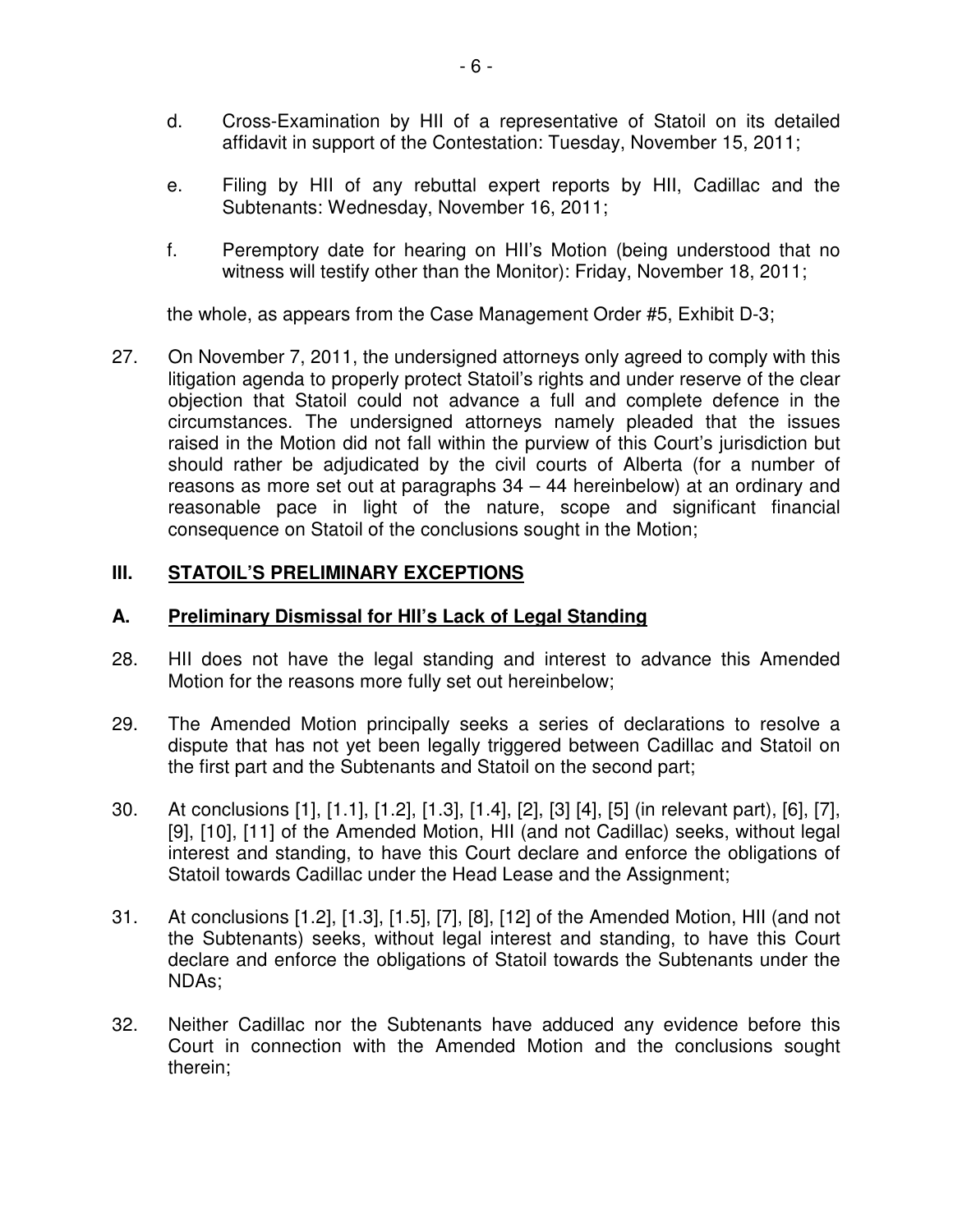- d. Cross-Examination by HII of a representative of Statoil on its detailed affidavit in support of the Contestation: Tuesday, November 15, 2011;
- e. Filing by HII of any rebuttal expert reports by HII, Cadillac and the Subtenants: Wednesday, November 16, 2011;
- f. Peremptory date for hearing on HII's Motion (being understood that no witness will testify other than the Monitor): Friday, November 18, 2011;

the whole, as appears from the Case Management Order #5, Exhibit D-3;

27. On November 7, 2011, the undersigned attorneys only agreed to comply with this litigation agenda to properly protect Statoil's rights and under reserve of the clear objection that Statoil could not advance a full and complete defence in the circumstances. The undersigned attorneys namely pleaded that the issues raised in the Motion did not fall within the purview of this Court's jurisdiction but should rather be adjudicated by the civil courts of Alberta (for a number of reasons as more set out at paragraphs 34 – 44 hereinbelow) at an ordinary and reasonable pace in light of the nature, scope and significant financial consequence on Statoil of the conclusions sought in the Motion;

# **III. STATOIL'S PRELIMINARY EXCEPTIONS**

# **A. Preliminary Dismissal for HII's Lack of Legal Standing**

- 28. HII does not have the legal standing and interest to advance this Amended Motion for the reasons more fully set out hereinbelow;
- 29. The Amended Motion principally seeks a series of declarations to resolve a dispute that has not yet been legally triggered between Cadillac and Statoil on the first part and the Subtenants and Statoil on the second part;
- 30. At conclusions [1], [1.1], [1.2], [1.3], [1.4], [2], [3] [4], [5] (in relevant part), [6], [7], [9], [10], [11] of the Amended Motion, HII (and not Cadillac) seeks, without legal interest and standing, to have this Court declare and enforce the obligations of Statoil towards Cadillac under the Head Lease and the Assignment;
- 31. At conclusions [1.2], [1.3], [1.5], [7], [8], [12] of the Amended Motion, HII (and not the Subtenants) seeks, without legal interest and standing, to have this Court declare and enforce the obligations of Statoil towards the Subtenants under the NDAs;
- 32. Neither Cadillac nor the Subtenants have adduced any evidence before this Court in connection with the Amended Motion and the conclusions sought therein;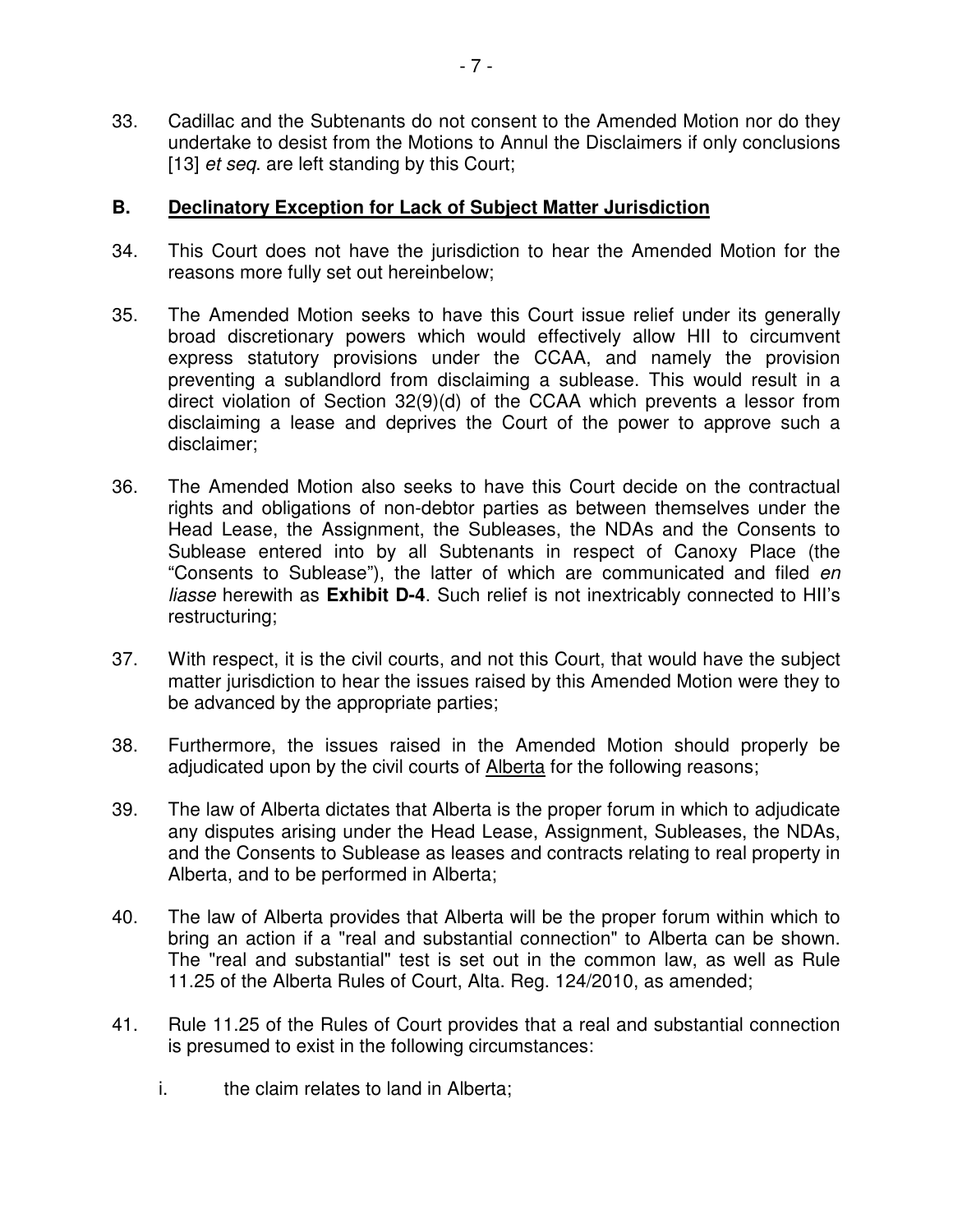33. Cadillac and the Subtenants do not consent to the Amended Motion nor do they undertake to desist from the Motions to Annul the Disclaimers if only conclusions [13] *et seq.* are left standing by this Court;

## **B. Declinatory Exception for Lack of Subject Matter Jurisdiction**

- 34. This Court does not have the jurisdiction to hear the Amended Motion for the reasons more fully set out hereinbelow;
- 35. The Amended Motion seeks to have this Court issue relief under its generally broad discretionary powers which would effectively allow HII to circumvent express statutory provisions under the CCAA, and namely the provision preventing a sublandlord from disclaiming a sublease. This would result in a direct violation of Section 32(9)(d) of the CCAA which prevents a lessor from disclaiming a lease and deprives the Court of the power to approve such a disclaimer;
- 36. The Amended Motion also seeks to have this Court decide on the contractual rights and obligations of non-debtor parties as between themselves under the Head Lease, the Assignment, the Subleases, the NDAs and the Consents to Sublease entered into by all Subtenants in respect of Canoxy Place (the "Consents to Sublease"), the latter of which are communicated and filed en liasse herewith as **Exhibit D-4**. Such relief is not inextricably connected to HII's restructuring;
- 37. With respect, it is the civil courts, and not this Court, that would have the subject matter jurisdiction to hear the issues raised by this Amended Motion were they to be advanced by the appropriate parties;
- 38. Furthermore, the issues raised in the Amended Motion should properly be adjudicated upon by the civil courts of Alberta for the following reasons;
- 39. The law of Alberta dictates that Alberta is the proper forum in which to adjudicate any disputes arising under the Head Lease, Assignment, Subleases, the NDAs, and the Consents to Sublease as leases and contracts relating to real property in Alberta, and to be performed in Alberta;
- 40. The law of Alberta provides that Alberta will be the proper forum within which to bring an action if a "real and substantial connection" to Alberta can be shown. The "real and substantial" test is set out in the common law, as well as Rule 11.25 of the Alberta Rules of Court, Alta. Reg. 124/2010, as amended;
- 41. Rule 11.25 of the Rules of Court provides that a real and substantial connection is presumed to exist in the following circumstances:
	- i. the claim relates to land in Alberta;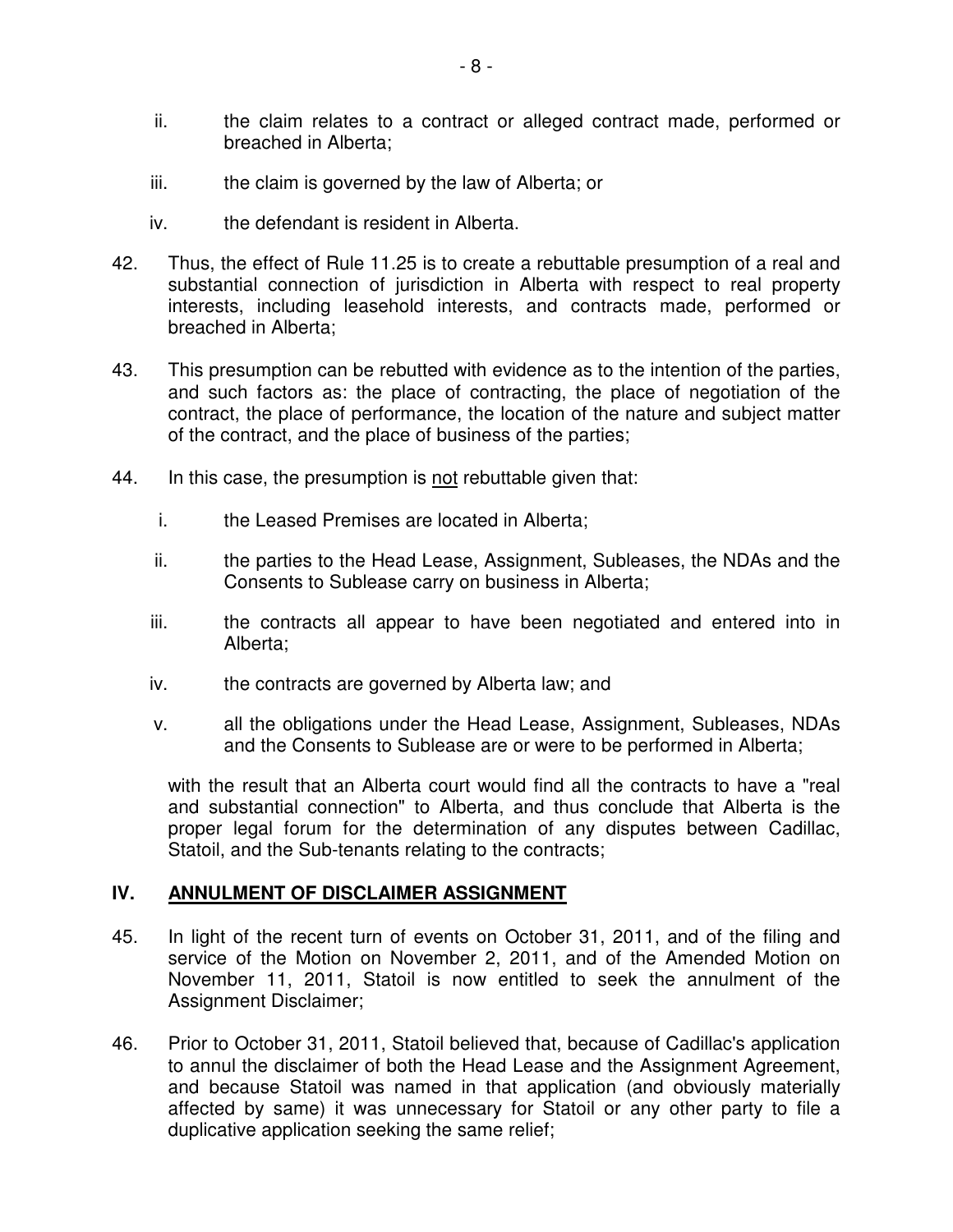- ii. the claim relates to a contract or alleged contract made, performed or breached in Alberta;
- iii. the claim is governed by the law of Alberta; or
- iv. the defendant is resident in Alberta.
- 42. Thus, the effect of Rule 11.25 is to create a rebuttable presumption of a real and substantial connection of jurisdiction in Alberta with respect to real property interests, including leasehold interests, and contracts made, performed or breached in Alberta;
- 43. This presumption can be rebutted with evidence as to the intention of the parties, and such factors as: the place of contracting, the place of negotiation of the contract, the place of performance, the location of the nature and subject matter of the contract, and the place of business of the parties;
- 44. In this case, the presumption is not rebuttable given that:
	- i. the Leased Premises are located in Alberta;
	- ii. the parties to the Head Lease, Assignment, Subleases, the NDAs and the Consents to Sublease carry on business in Alberta;
	- iii. the contracts all appear to have been negotiated and entered into in Alberta;
	- iv. the contracts are governed by Alberta law; and
	- v. all the obligations under the Head Lease, Assignment, Subleases, NDAs and the Consents to Sublease are or were to be performed in Alberta;

with the result that an Alberta court would find all the contracts to have a "real and substantial connection" to Alberta, and thus conclude that Alberta is the proper legal forum for the determination of any disputes between Cadillac, Statoil, and the Sub-tenants relating to the contracts;

#### **IV. ANNULMENT OF DISCLAIMER ASSIGNMENT**

- 45. In light of the recent turn of events on October 31, 2011, and of the filing and service of the Motion on November 2, 2011, and of the Amended Motion on November 11, 2011, Statoil is now entitled to seek the annulment of the Assignment Disclaimer;
- 46. Prior to October 31, 2011, Statoil believed that, because of Cadillac's application to annul the disclaimer of both the Head Lease and the Assignment Agreement, and because Statoil was named in that application (and obviously materially affected by same) it was unnecessary for Statoil or any other party to file a duplicative application seeking the same relief;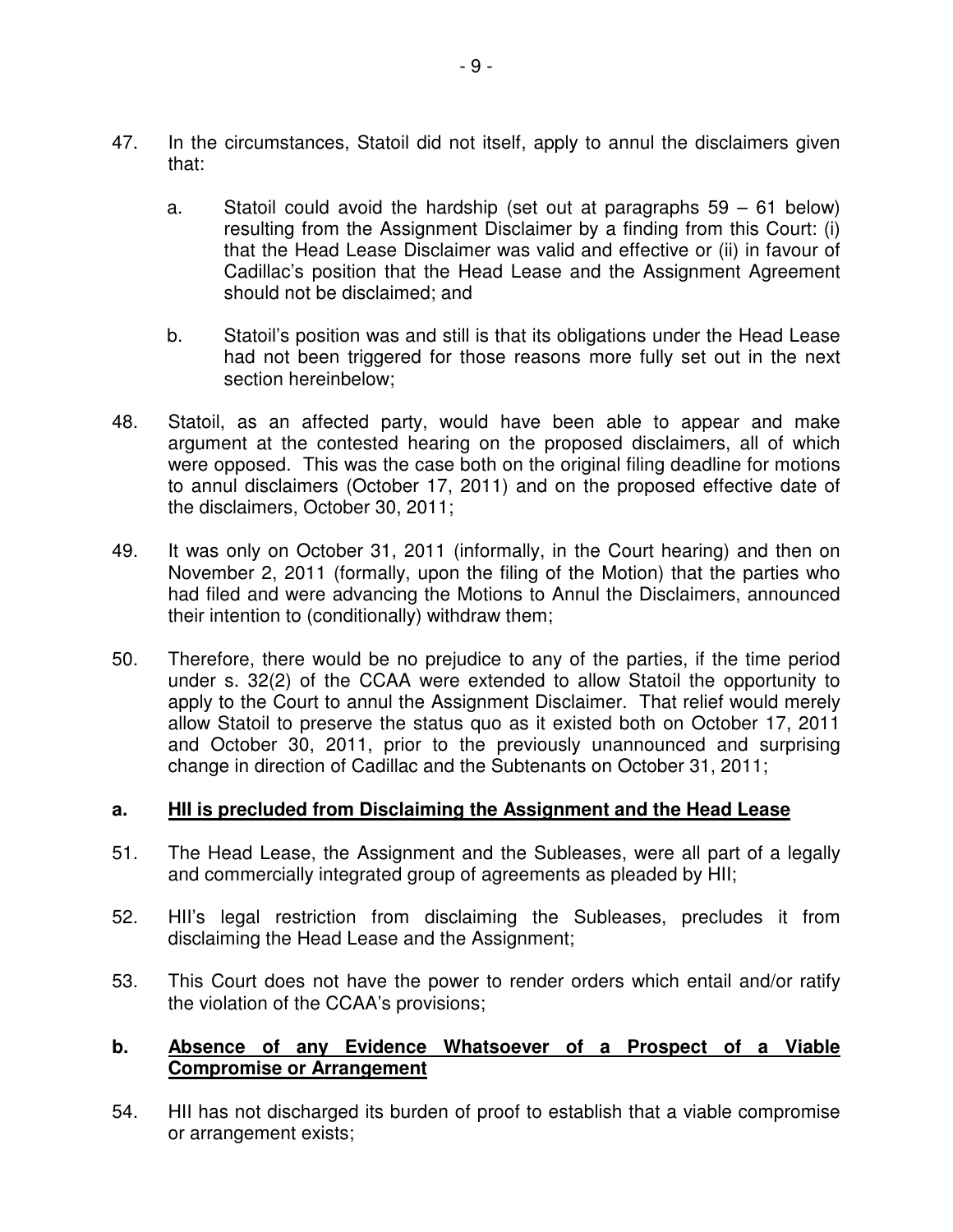- 47. In the circumstances, Statoil did not itself, apply to annul the disclaimers given that:
	- a. Statoil could avoid the hardship (set out at paragraphs 59 61 below) resulting from the Assignment Disclaimer by a finding from this Court: (i) that the Head Lease Disclaimer was valid and effective or (ii) in favour of Cadillac's position that the Head Lease and the Assignment Agreement should not be disclaimed; and
	- b. Statoil's position was and still is that its obligations under the Head Lease had not been triggered for those reasons more fully set out in the next section hereinbelow;
- 48. Statoil, as an affected party, would have been able to appear and make argument at the contested hearing on the proposed disclaimers, all of which were opposed. This was the case both on the original filing deadline for motions to annul disclaimers (October 17, 2011) and on the proposed effective date of the disclaimers, October 30, 2011;
- 49. It was only on October 31, 2011 (informally, in the Court hearing) and then on November 2, 2011 (formally, upon the filing of the Motion) that the parties who had filed and were advancing the Motions to Annul the Disclaimers, announced their intention to (conditionally) withdraw them;
- 50. Therefore, there would be no prejudice to any of the parties, if the time period under s. 32(2) of the CCAA were extended to allow Statoil the opportunity to apply to the Court to annul the Assignment Disclaimer. That relief would merely allow Statoil to preserve the status quo as it existed both on October 17, 2011 and October 30, 2011, prior to the previously unannounced and surprising change in direction of Cadillac and the Subtenants on October 31, 2011;

## **a. HII is precluded from Disclaiming the Assignment and the Head Lease**

- 51. The Head Lease, the Assignment and the Subleases, were all part of a legally and commercially integrated group of agreements as pleaded by HII;
- 52. HII's legal restriction from disclaiming the Subleases, precludes it from disclaiming the Head Lease and the Assignment;
- 53. This Court does not have the power to render orders which entail and/or ratify the violation of the CCAA's provisions;

## **b. Absence of any Evidence Whatsoever of a Prospect of a Viable Compromise or Arrangement**

54. HII has not discharged its burden of proof to establish that a viable compromise or arrangement exists;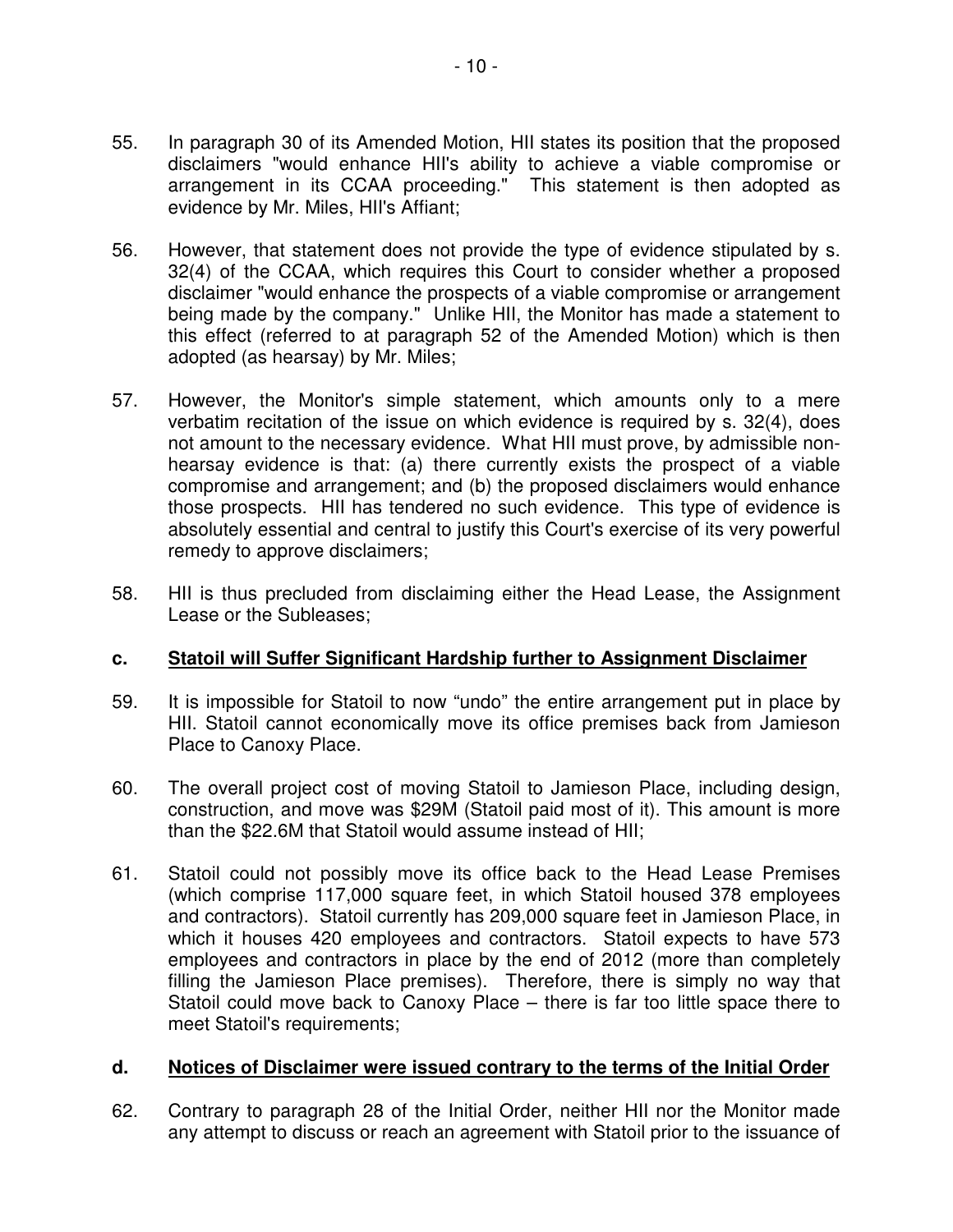- 55. In paragraph 30 of its Amended Motion, HII states its position that the proposed disclaimers "would enhance HII's ability to achieve a viable compromise or arrangement in its CCAA proceeding." This statement is then adopted as evidence by Mr. Miles, HII's Affiant;
- 56. However, that statement does not provide the type of evidence stipulated by s. 32(4) of the CCAA, which requires this Court to consider whether a proposed disclaimer "would enhance the prospects of a viable compromise or arrangement being made by the company." Unlike HII, the Monitor has made a statement to this effect (referred to at paragraph 52 of the Amended Motion) which is then adopted (as hearsay) by Mr. Miles;
- 57. However, the Monitor's simple statement, which amounts only to a mere verbatim recitation of the issue on which evidence is required by s. 32(4), does not amount to the necessary evidence. What HII must prove, by admissible nonhearsay evidence is that: (a) there currently exists the prospect of a viable compromise and arrangement; and (b) the proposed disclaimers would enhance those prospects. HII has tendered no such evidence. This type of evidence is absolutely essential and central to justify this Court's exercise of its very powerful remedy to approve disclaimers;
- 58. HII is thus precluded from disclaiming either the Head Lease, the Assignment Lease or the Subleases;

## **c. Statoil will Suffer Significant Hardship further to Assignment Disclaimer**

- 59. It is impossible for Statoil to now "undo" the entire arrangement put in place by HII. Statoil cannot economically move its office premises back from Jamieson Place to Canoxy Place.
- 60. The overall project cost of moving Statoil to Jamieson Place, including design, construction, and move was \$29M (Statoil paid most of it). This amount is more than the \$22.6M that Statoil would assume instead of HII;
- 61. Statoil could not possibly move its office back to the Head Lease Premises (which comprise 117,000 square feet, in which Statoil housed 378 employees and contractors). Statoil currently has 209,000 square feet in Jamieson Place, in which it houses 420 employees and contractors. Statoil expects to have 573 employees and contractors in place by the end of 2012 (more than completely filling the Jamieson Place premises). Therefore, there is simply no way that Statoil could move back to Canoxy Place – there is far too little space there to meet Statoil's requirements;

## **d. Notices of Disclaimer were issued contrary to the terms of the Initial Order**

62. Contrary to paragraph 28 of the Initial Order, neither HII nor the Monitor made any attempt to discuss or reach an agreement with Statoil prior to the issuance of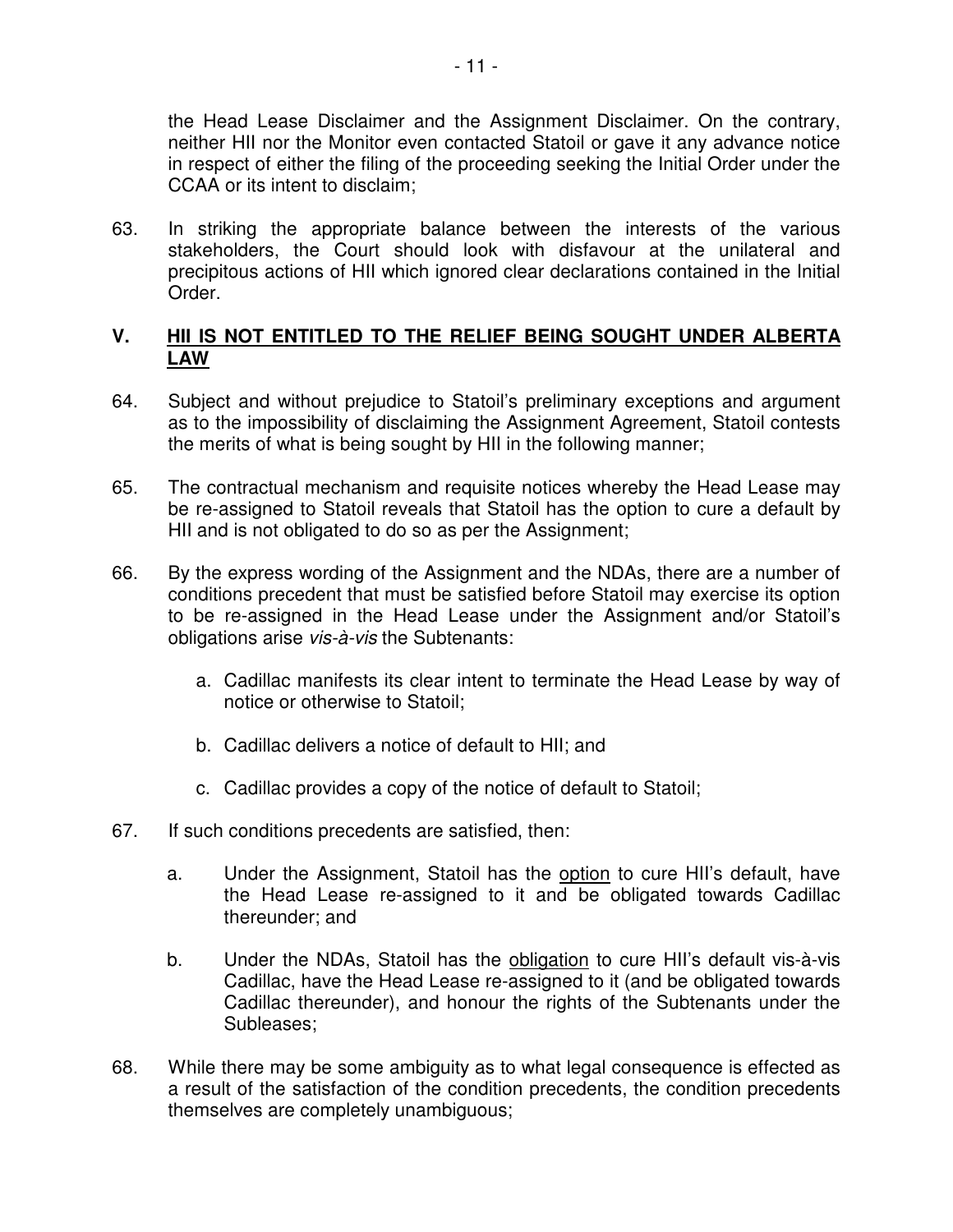the Head Lease Disclaimer and the Assignment Disclaimer. On the contrary, neither HII nor the Monitor even contacted Statoil or gave it any advance notice in respect of either the filing of the proceeding seeking the Initial Order under the CCAA or its intent to disclaim;

63. In striking the appropriate balance between the interests of the various stakeholders, the Court should look with disfavour at the unilateral and precipitous actions of HII which ignored clear declarations contained in the Initial Order.

# **V. HII IS NOT ENTITLED TO THE RELIEF BEING SOUGHT UNDER ALBERTA LAW**

- 64. Subject and without prejudice to Statoil's preliminary exceptions and argument as to the impossibility of disclaiming the Assignment Agreement, Statoil contests the merits of what is being sought by HII in the following manner;
- 65. The contractual mechanism and requisite notices whereby the Head Lease may be re-assigned to Statoil reveals that Statoil has the option to cure a default by HII and is not obligated to do so as per the Assignment;
- 66. By the express wording of the Assignment and the NDAs, there are a number of conditions precedent that must be satisfied before Statoil may exercise its option to be re-assigned in the Head Lease under the Assignment and/or Statoil's obligations arise vis-à-vis the Subtenants:
	- a. Cadillac manifests its clear intent to terminate the Head Lease by way of notice or otherwise to Statoil;
	- b. Cadillac delivers a notice of default to HII; and
	- c. Cadillac provides a copy of the notice of default to Statoil;
- 67. If such conditions precedents are satisfied, then:
	- a. Under the Assignment, Statoil has the option to cure HII's default, have the Head Lease re-assigned to it and be obligated towards Cadillac thereunder; and
	- b. Under the NDAs, Statoil has the obligation to cure HII's default vis-à-vis Cadillac, have the Head Lease re-assigned to it (and be obligated towards Cadillac thereunder), and honour the rights of the Subtenants under the Subleases;
- 68. While there may be some ambiguity as to what legal consequence is effected as a result of the satisfaction of the condition precedents, the condition precedents themselves are completely unambiguous;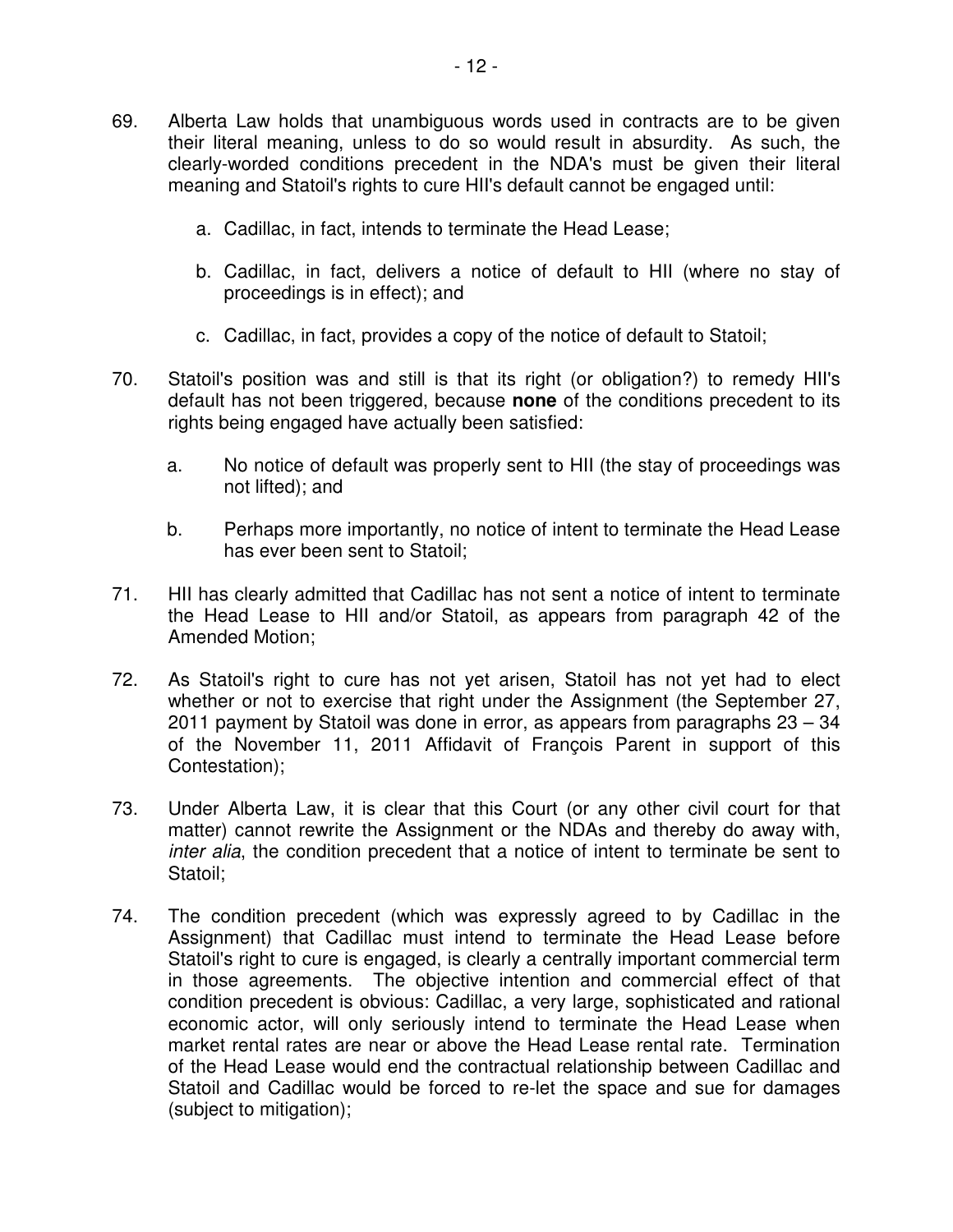- 69. Alberta Law holds that unambiguous words used in contracts are to be given their literal meaning, unless to do so would result in absurdity. As such, the clearly-worded conditions precedent in the NDA's must be given their literal meaning and Statoil's rights to cure HII's default cannot be engaged until:
	- a. Cadillac, in fact, intends to terminate the Head Lease;
	- b. Cadillac, in fact, delivers a notice of default to HII (where no stay of proceedings is in effect); and
	- c. Cadillac, in fact, provides a copy of the notice of default to Statoil;
- 70. Statoil's position was and still is that its right (or obligation?) to remedy HII's default has not been triggered, because **none** of the conditions precedent to its rights being engaged have actually been satisfied:
	- a. No notice of default was properly sent to HII (the stay of proceedings was not lifted); and
	- b. Perhaps more importantly, no notice of intent to terminate the Head Lease has ever been sent to Statoil;
- 71. HII has clearly admitted that Cadillac has not sent a notice of intent to terminate the Head Lease to HII and/or Statoil, as appears from paragraph 42 of the Amended Motion;
- 72. As Statoil's right to cure has not yet arisen, Statoil has not yet had to elect whether or not to exercise that right under the Assignment (the September 27, 2011 payment by Statoil was done in error, as appears from paragraphs 23 – 34 of the November 11, 2011 Affidavit of François Parent in support of this Contestation);
- 73. Under Alberta Law, it is clear that this Court (or any other civil court for that matter) cannot rewrite the Assignment or the NDAs and thereby do away with, inter alia, the condition precedent that a notice of intent to terminate be sent to Statoil;
- 74. The condition precedent (which was expressly agreed to by Cadillac in the Assignment) that Cadillac must intend to terminate the Head Lease before Statoil's right to cure is engaged, is clearly a centrally important commercial term in those agreements. The objective intention and commercial effect of that condition precedent is obvious: Cadillac, a very large, sophisticated and rational economic actor, will only seriously intend to terminate the Head Lease when market rental rates are near or above the Head Lease rental rate. Termination of the Head Lease would end the contractual relationship between Cadillac and Statoil and Cadillac would be forced to re-let the space and sue for damages (subject to mitigation);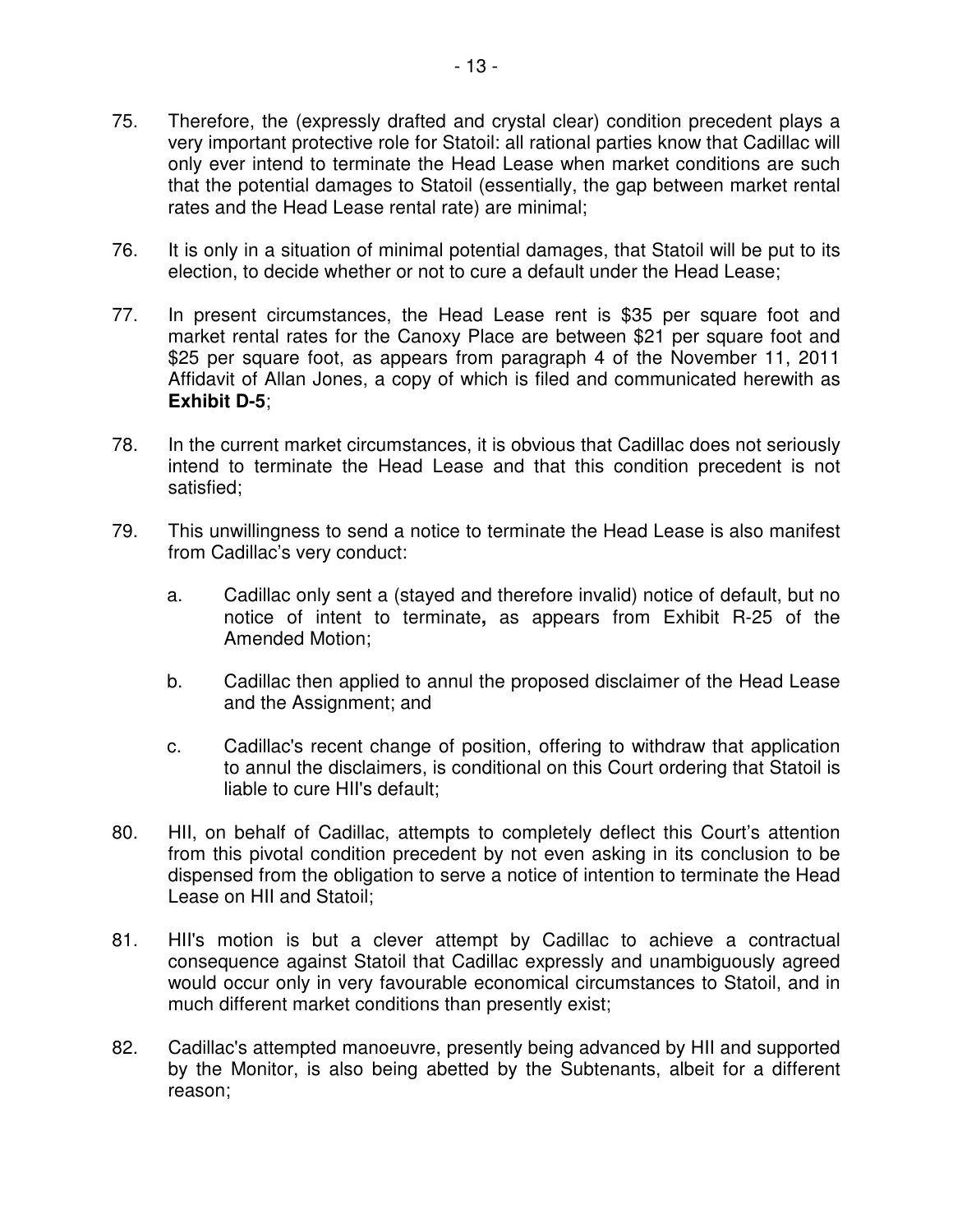- 75. Therefore, the (expressly drafted and crystal clear) condition precedent plays a very important protective role for Statoil: all rational parties know that Cadillac will only ever intend to terminate the Head Lease when market conditions are such that the potential damages to Statoil (essentially, the gap between market rental rates and the Head Lease rental rate) are minimal;
- 76. It is only in a situation of minimal potential damages, that Statoil will be put to its election, to decide whether or not to cure a default under the Head Lease;
- 77. In present circumstances, the Head Lease rent is \$35 per square foot and market rental rates for the Canoxy Place are between \$21 per square foot and \$25 per square foot, as appears from paragraph 4 of the November 11, 2011 Affidavit of Allan Jones, a copy of which is filed and communicated herewith as **Exhibit D-5**;
- 78. In the current market circumstances, it is obvious that Cadillac does not seriously intend to terminate the Head Lease and that this condition precedent is not satisfied;
- 79. This unwillingness to send a notice to terminate the Head Lease is also manifest from Cadillac's very conduct:
	- a. Cadillac only sent a (stayed and therefore invalid) notice of default, but no notice of intent to terminate**,** as appears from Exhibit R-25 of the Amended Motion;
	- b. Cadillac then applied to annul the proposed disclaimer of the Head Lease and the Assignment; and
	- c. Cadillac's recent change of position, offering to withdraw that application to annul the disclaimers, is conditional on this Court ordering that Statoil is liable to cure HII's default;
- 80. HII, on behalf of Cadillac, attempts to completely deflect this Court's attention from this pivotal condition precedent by not even asking in its conclusion to be dispensed from the obligation to serve a notice of intention to terminate the Head Lease on HII and Statoil;
- 81. HII's motion is but a clever attempt by Cadillac to achieve a contractual consequence against Statoil that Cadillac expressly and unambiguously agreed would occur only in very favourable economical circumstances to Statoil, and in much different market conditions than presently exist;
- 82. Cadillac's attempted manoeuvre, presently being advanced by HII and supported by the Monitor, is also being abetted by the Subtenants, albeit for a different reason;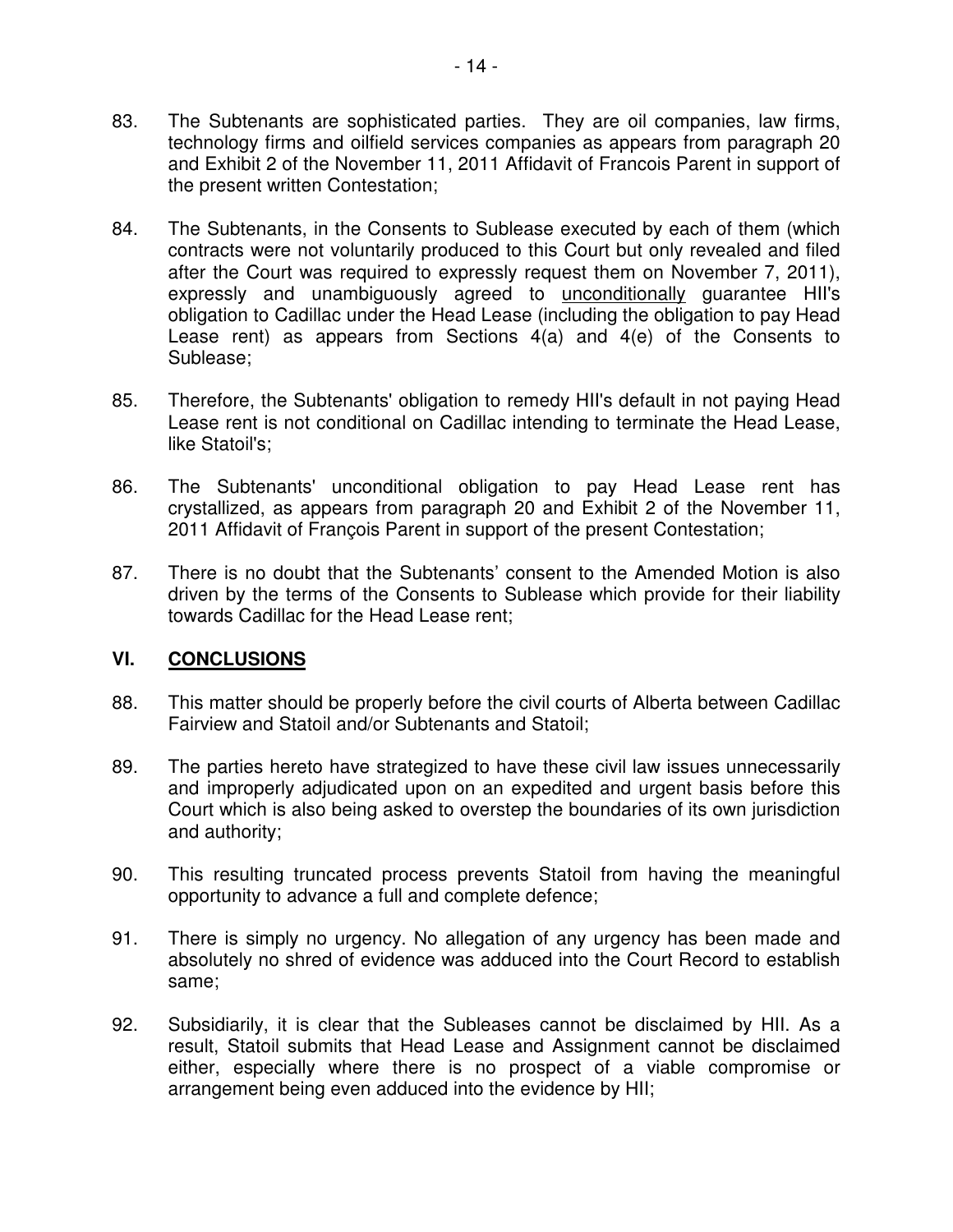- 83. The Subtenants are sophisticated parties. They are oil companies, law firms, technology firms and oilfield services companies as appears from paragraph 20 and Exhibit 2 of the November 11, 2011 Affidavit of Francois Parent in support of the present written Contestation;
- 84. The Subtenants, in the Consents to Sublease executed by each of them (which contracts were not voluntarily produced to this Court but only revealed and filed after the Court was required to expressly request them on November 7, 2011), expressly and unambiguously agreed to unconditionally guarantee HII's obligation to Cadillac under the Head Lease (including the obligation to pay Head Lease rent) as appears from Sections 4(a) and 4(e) of the Consents to Sublease;
- 85. Therefore, the Subtenants' obligation to remedy HII's default in not paying Head Lease rent is not conditional on Cadillac intending to terminate the Head Lease, like Statoil's;
- 86. The Subtenants' unconditional obligation to pay Head Lease rent has crystallized, as appears from paragraph 20 and Exhibit 2 of the November 11, 2011 Affidavit of François Parent in support of the present Contestation;
- 87. There is no doubt that the Subtenants' consent to the Amended Motion is also driven by the terms of the Consents to Sublease which provide for their liability towards Cadillac for the Head Lease rent;

# **VI. CONCLUSIONS**

- 88. This matter should be properly before the civil courts of Alberta between Cadillac Fairview and Statoil and/or Subtenants and Statoil;
- 89. The parties hereto have strategized to have these civil law issues unnecessarily and improperly adjudicated upon on an expedited and urgent basis before this Court which is also being asked to overstep the boundaries of its own jurisdiction and authority;
- 90. This resulting truncated process prevents Statoil from having the meaningful opportunity to advance a full and complete defence;
- 91. There is simply no urgency. No allegation of any urgency has been made and absolutely no shred of evidence was adduced into the Court Record to establish same;
- 92. Subsidiarily, it is clear that the Subleases cannot be disclaimed by HII. As a result, Statoil submits that Head Lease and Assignment cannot be disclaimed either, especially where there is no prospect of a viable compromise or arrangement being even adduced into the evidence by HII;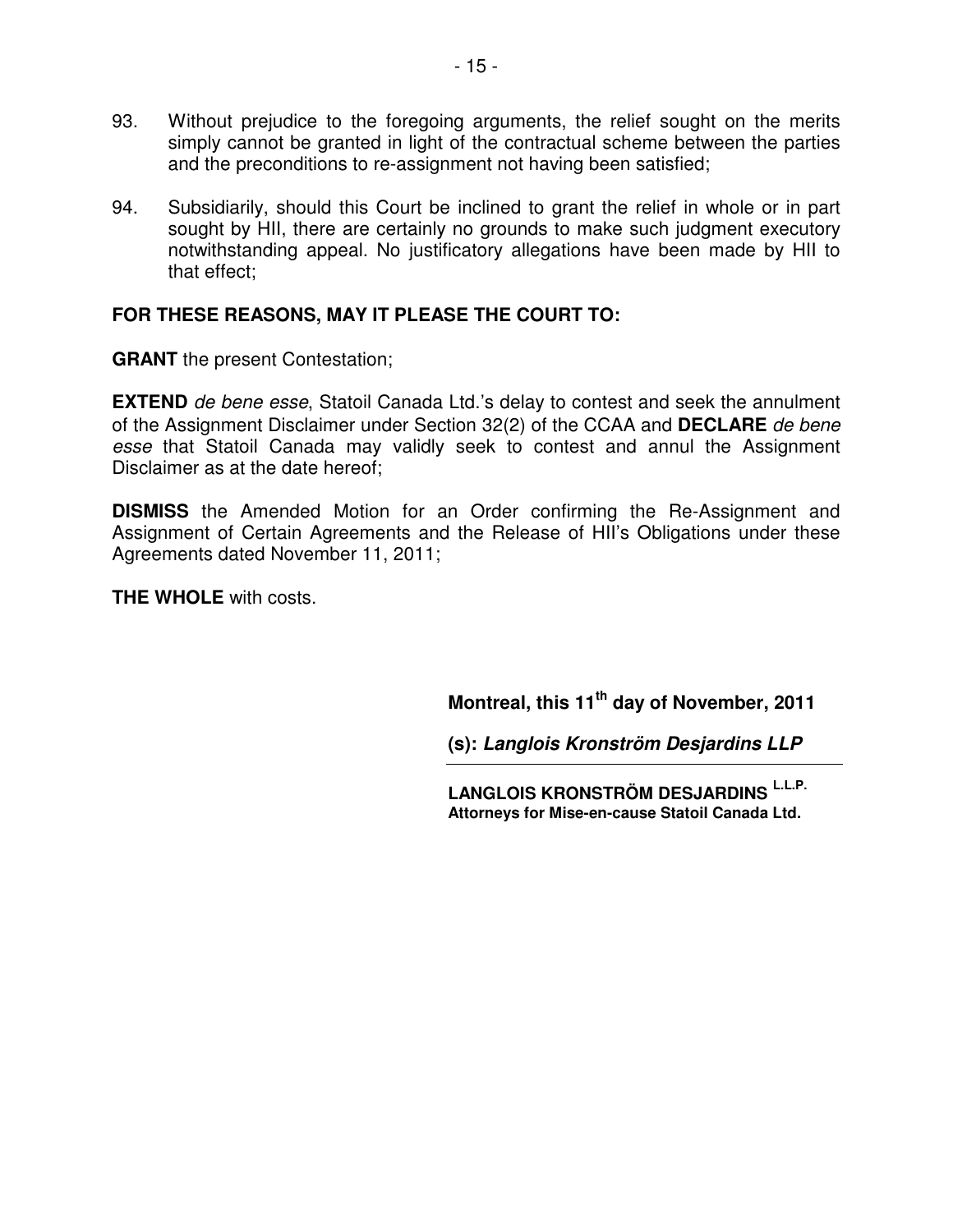- 93. Without prejudice to the foregoing arguments, the relief sought on the merits simply cannot be granted in light of the contractual scheme between the parties and the preconditions to re-assignment not having been satisfied;
- 94. Subsidiarily, should this Court be inclined to grant the relief in whole or in part sought by HII, there are certainly no grounds to make such judgment executory notwithstanding appeal. No justificatory allegations have been made by HII to that effect;

# **FOR THESE REASONS, MAY IT PLEASE THE COURT TO:**

**GRANT** the present Contestation;

**EXTEND** de bene esse, Statoil Canada Ltd.'s delay to contest and seek the annulment of the Assignment Disclaimer under Section 32(2) of the CCAA and **DECLARE** de bene esse that Statoil Canada may validly seek to contest and annul the Assignment Disclaimer as at the date hereof;

**DISMISS** the Amended Motion for an Order confirming the Re-Assignment and Assignment of Certain Agreements and the Release of HII's Obligations under these Agreements dated November 11, 2011;

**THE WHOLE** with costs.

**Montreal, this 11th day of November, 2011** 

**(s): Langlois Kronström Desjardins LLP** 

**LANGLOIS KRONSTRÖM DESJARDINS L.L.P. Attorneys for Mise-en-cause Statoil Canada Ltd.**